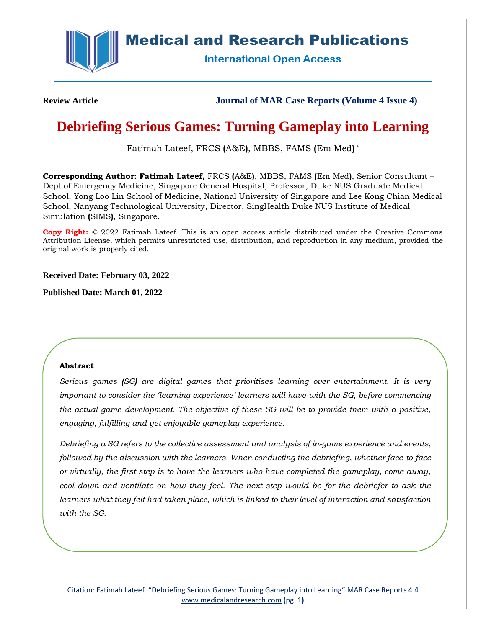

# **Medical and Research Publications**

**International Open Access** 

**Review Article Journal of MAR Case Reports (Volume 4 Issue 4)**

# **Debriefing Serious Games: Turning Gameplay into Learning**

Fatimah Lateef, FRCS **(**A&E**)**, MBBS, FAMS **(**Em Med**)** \*

**Corresponding Author: Fatimah Lateef,** FRCS **(**A&E**)**, MBBS, FAMS **(**Em Med**)**, Senior Consultant – Dept of Emergency Medicine, Singapore General Hospital, Professor, Duke NUS Graduate Medical School, Yong Loo Lin School of Medicine, National University of Singapore and Lee Kong Chian Medical School, Nanyang Technological University, Director, SingHealth Duke NUS Institute of Medical Simulation **(**SIMS**)**, Singapore.

**Copy Right:** © 2022 Fatimah Lateef. This is an open access article distributed under the Creative Commons Attribution License, which permits unrestricted use, distribution, and reproduction in any medium, provided the original work is properly cited.

**Received Date: February 03, 2022**

**Published Date: March 01, 2022**

## **Abstract**

*Serious games (SG) are digital games that prioritises learning over entertainment. It is very important to consider the 'learning experience' learners will have with the SG, before commencing the actual game development. The objective of these SG will be to provide them with a positive, engaging, fulfilling and yet enjoyable gameplay experience.* 

*Debriefing a SG refers to the collective assessment and analysis of in-game experience and events, followed by the discussion with the learners. When conducting the debriefing, whether face-to-face or virtually, the first step is to have the learners who have completed the gameplay, come away, cool down and ventilate on how they feel. The next step would be for the debriefer to ask the learners what they felt had taken place, which is linked to their level of interaction and satisfaction with the SG.*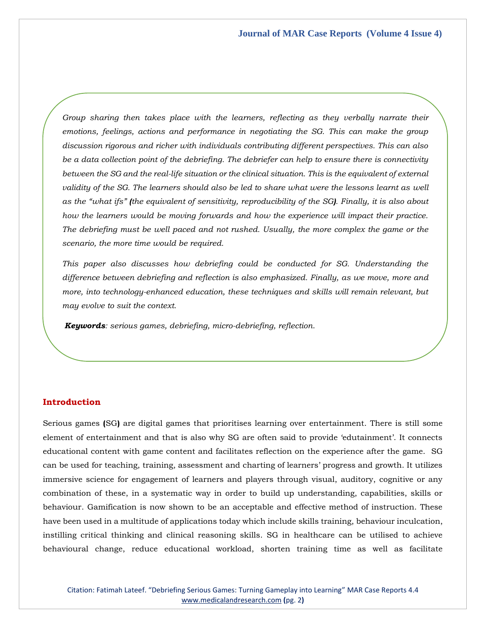*Group sharing then takes place with the learners, reflecting as they verbally narrate their emotions, feelings, actions and performance in negotiating the SG. This can make the group discussion rigorous and richer with individuals contributing different perspectives. This can also be a data collection point of the debriefing. The debriefer can help to ensure there is connectivity*  between the SG and the real-life situation or the clinical situation. This is the equivalent of external *validity of the SG. The learners should also be led to share what were the lessons learnt as well as the "what ifs" (the equivalent of sensitivity, reproducibility of the SG). Finally, it is also about how the learners would be moving forwards and how the experience will impact their practice. The debriefing must be well paced and not rushed. Usually, the more complex the game or the scenario, the more time would be required.*

*This paper also discusses how debriefing could be conducted for SG. Understanding the difference between debriefing and reflection is also emphasized. Finally, as we move, more and more, into technology-enhanced education, these techniques and skills will remain relevant, but may evolve to suit the context.* 

*Keywords: serious games, debriefing, micro-debriefing, reflection.*

## **Introduction**

Serious games **(**SG**)** are digital games that prioritises learning over entertainment. There is still some element of entertainment and that is also why SG are often said to provide 'edutainment'. It connects educational content with game content and facilitates reflection on the experience after the game. SG can be used for teaching, training, assessment and charting of learners' progress and growth. It utilizes immersive science for engagement of learners and players through visual, auditory, cognitive or any combination of these, in a systematic way in order to build up understanding, capabilities, skills or behaviour. Gamification is now shown to be an acceptable and effective method of instruction. These have been used in a multitude of applications today which include skills training, behaviour inculcation, instilling critical thinking and clinical reasoning skills. SG in healthcare can be utilised to achieve behavioural change, reduce educational workload, shorten training time as well as facilitate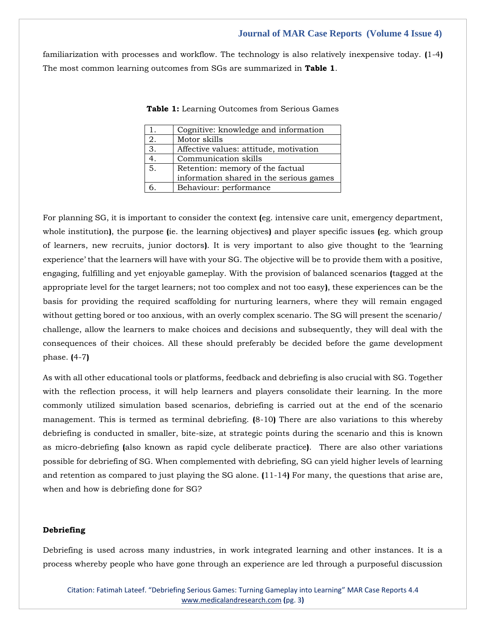familiarization with processes and workflow. The technology is also relatively inexpensive today. **(**1-4**)** The most common learning outcomes from SGs are summarized in **Table 1**.

|    | Cognitive: knowledge and information    |
|----|-----------------------------------------|
| 2. | Motor skills                            |
| 3. | Affective values: attitude, motivation  |
|    | Communication skills                    |
| 5. | Retention: memory of the factual        |
|    | information shared in the serious games |
| 6. | Behaviour: performance                  |

**Table 1:** Learning Outcomes from Serious Games

For planning SG, it is important to consider the context **(**eg. intensive care unit, emergency department, whole institution**)**, the purpose **(**ie. the learning objectives**)** and player specific issues **(**eg. which group of learners, new recruits, junior doctors**)**. It is very important to also give thought to the 'learning experience' that the learners will have with your SG. The objective will be to provide them with a positive, engaging, fulfilling and yet enjoyable gameplay. With the provision of balanced scenarios **(**tagged at the appropriate level for the target learners; not too complex and not too easy**)**, these experiences can be the basis for providing the required scaffolding for nurturing learners, where they will remain engaged without getting bored or too anxious, with an overly complex scenario. The SG will present the scenario/ challenge, allow the learners to make choices and decisions and subsequently, they will deal with the consequences of their choices. All these should preferably be decided before the game development phase. **(**4-7**)**

As with all other educational tools or platforms, feedback and debriefing is also crucial with SG. Together with the reflection process, it will help learners and players consolidate their learning. In the more commonly utilized simulation based scenarios, debriefing is carried out at the end of the scenario management. This is termed as terminal debriefing. **(**8-10**)** There are also variations to this whereby debriefing is conducted in smaller, bite-size, at strategic points during the scenario and this is known as micro-debriefing **(**also known as rapid cycle deliberate practice**)**. There are also other variations possible for debriefing of SG. When complemented with debriefing, SG can yield higher levels of learning and retention as compared to just playing the SG alone. **(**11-14**)** For many, the questions that arise are, when and how is debriefing done for SG?

## **Debriefing**

Debriefing is used across many industries, in work integrated learning and other instances. It is a process whereby people who have gone through an experience are led through a purposeful discussion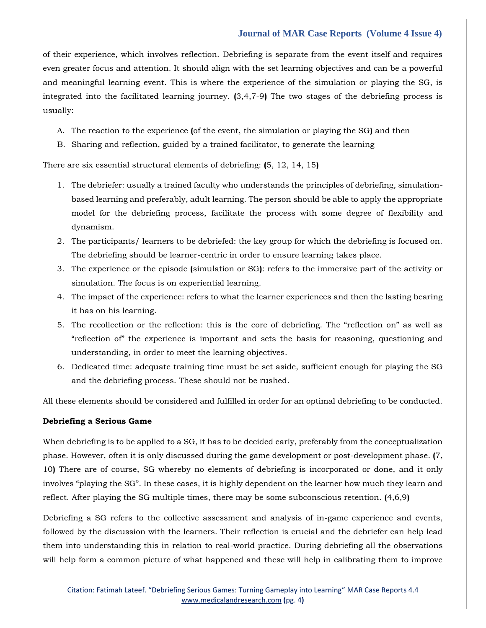of their experience, which involves reflection. Debriefing is separate from the event itself and requires even greater focus and attention. It should align with the set learning objectives and can be a powerful and meaningful learning event. This is where the experience of the simulation or playing the SG, is integrated into the facilitated learning journey. **(**3,4,7-9**)** The two stages of the debriefing process is usually:

- A. The reaction to the experience **(**of the event, the simulation or playing the SG**)** and then
- B. Sharing and reflection, guided by a trained facilitator, to generate the learning

There are six essential structural elements of debriefing: **(**5, 12, 14, 15**)**

- 1. The debriefer: usually a trained faculty who understands the principles of debriefing, simulationbased learning and preferably, adult learning. The person should be able to apply the appropriate model for the debriefing process, facilitate the process with some degree of flexibility and dynamism.
- 2. The participants/ learners to be debriefed: the key group for which the debriefing is focused on. The debriefing should be learner-centric in order to ensure learning takes place.
- 3. The experience or the episode **(**simulation or SG**)**: refers to the immersive part of the activity or simulation. The focus is on experiential learning.
- 4. The impact of the experience: refers to what the learner experiences and then the lasting bearing it has on his learning.
- 5. The recollection or the reflection: this is the core of debriefing. The "reflection on" as well as "reflection of" the experience is important and sets the basis for reasoning, questioning and understanding, in order to meet the learning objectives.
- 6. Dedicated time: adequate training time must be set aside, sufficient enough for playing the SG and the debriefing process. These should not be rushed.

All these elements should be considered and fulfilled in order for an optimal debriefing to be conducted.

## **Debriefing a Serious Game**

When debriefing is to be applied to a SG, it has to be decided early, preferably from the conceptualization phase. However, often it is only discussed during the game development or post-development phase. **(**7, 10**)** There are of course, SG whereby no elements of debriefing is incorporated or done, and it only involves "playing the SG". In these cases, it is highly dependent on the learner how much they learn and reflect. After playing the SG multiple times, there may be some subconscious retention. **(**4,6,9**)**

Debriefing a SG refers to the collective assessment and analysis of in-game experience and events, followed by the discussion with the learners. Their reflection is crucial and the debriefer can help lead them into understanding this in relation to real-world practice. During debriefing all the observations will help form a common picture of what happened and these will help in calibrating them to improve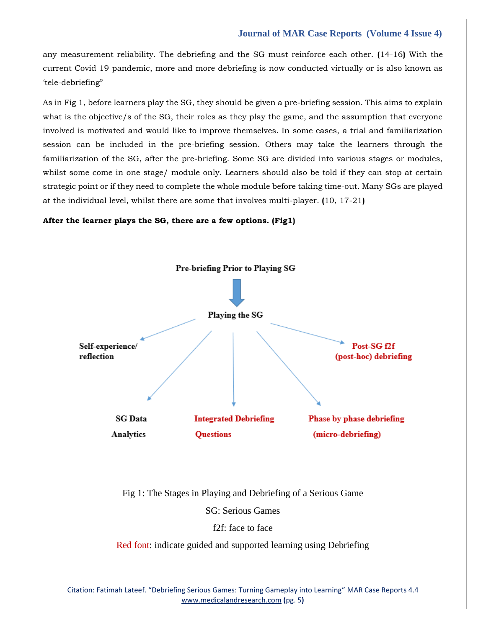any measurement reliability. The debriefing and the SG must reinforce each other. **(**14-16**)** With the current Covid 19 pandemic, more and more debriefing is now conducted virtually or is also known as 'tele-debriefing"

As in Fig 1, before learners play the SG, they should be given a pre-briefing session. This aims to explain what is the objective/s of the SG, their roles as they play the game, and the assumption that everyone involved is motivated and would like to improve themselves. In some cases, a trial and familiarization session can be included in the pre-briefing session. Others may take the learners through the familiarization of the SG, after the pre-briefing. Some SG are divided into various stages or modules, whilst some come in one stage/ module only. Learners should also be told if they can stop at certain strategic point or if they need to complete the whole module before taking time-out. Many SGs are played at the individual level, whilst there are some that involves multi-player. **(**10, 17-21**)**

#### **After the learner plays the SG, there are a few options. (Fig1)**



Fig 1: The Stages in Playing and Debriefing of a Serious Game

SG: Serious Games

f2f: face to face

Red font: indicate guided and supported learning using Debriefing

Citation: Fatimah Lateef. "Debriefing Serious Games: Turning Gameplay into Learning" MAR Case Reports 4.4 [www.medicalandresearch.com](http://www.medicalandresearch.com/) **(**pg. 5**)**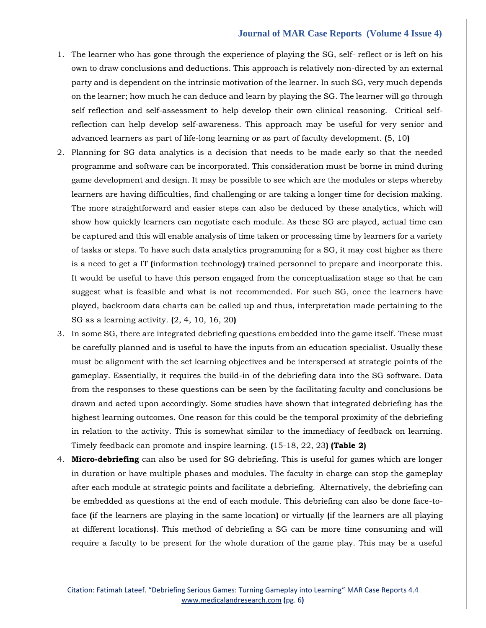- 1. The learner who has gone through the experience of playing the SG, self- reflect or is left on his own to draw conclusions and deductions. This approach is relatively non-directed by an external party and is dependent on the intrinsic motivation of the learner. In such SG, very much depends on the learner; how much he can deduce and learn by playing the SG. The learner will go through self reflection and self-assessment to help develop their own clinical reasoning. Critical selfreflection can help develop self-awareness. This approach may be useful for very senior and advanced learners as part of life-long learning or as part of faculty development. **(**5, 10**)**
- 2. Planning for SG data analytics is a decision that needs to be made early so that the needed programme and software can be incorporated. This consideration must be borne in mind during game development and design. It may be possible to see which are the modules or steps whereby learners are having difficulties, find challenging or are taking a longer time for decision making. The more straightforward and easier steps can also be deduced by these analytics, which will show how quickly learners can negotiate each module. As these SG are played, actual time can be captured and this will enable analysis of time taken or processing time by learners for a variety of tasks or steps. To have such data analytics programming for a SG, it may cost higher as there is a need to get a IT **(**information technology**)** trained personnel to prepare and incorporate this. It would be useful to have this person engaged from the conceptualization stage so that he can suggest what is feasible and what is not recommended. For such SG, once the learners have played, backroom data charts can be called up and thus, interpretation made pertaining to the SG as a learning activity. **(**2, 4, 10, 16, 20**)**
- 3. In some SG, there are integrated debriefing questions embedded into the game itself. These must be carefully planned and is useful to have the inputs from an education specialist. Usually these must be alignment with the set learning objectives and be interspersed at strategic points of the gameplay. Essentially, it requires the build-in of the debriefing data into the SG software. Data from the responses to these questions can be seen by the facilitating faculty and conclusions be drawn and acted upon accordingly. Some studies have shown that integrated debriefing has the highest learning outcomes. One reason for this could be the temporal proximity of the debriefing in relation to the activity. This is somewhat similar to the immediacy of feedback on learning. Timely feedback can promote and inspire learning. **(**15-18, 22, 23**) (Table 2)**
- 4. **Micro-debriefing** can also be used for SG debriefing. This is useful for games which are longer in duration or have multiple phases and modules. The faculty in charge can stop the gameplay after each module at strategic points and facilitate a debriefing. Alternatively, the debriefing can be embedded as questions at the end of each module. This debriefing can also be done face-toface **(**if the learners are playing in the same location**)** or virtually **(**if the learners are all playing at different locations**)**. This method of debriefing a SG can be more time consuming and will require a faculty to be present for the whole duration of the game play. This may be a useful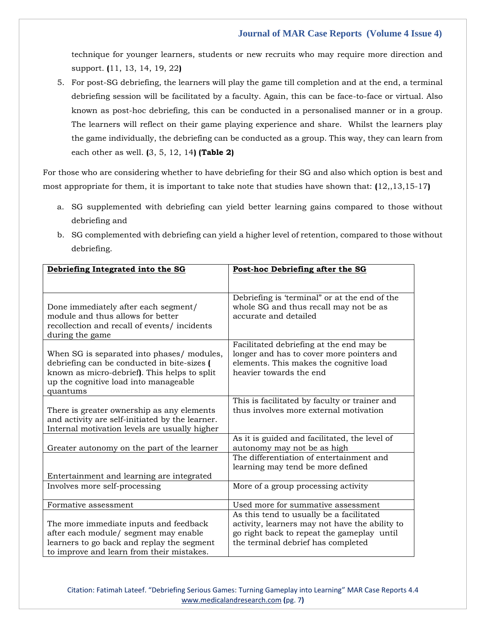technique for younger learners, students or new recruits who may require more direction and support. **(**11, 13, 14, 19, 22**)**

5. For post-SG debriefing, the learners will play the game till completion and at the end, a terminal debriefing session will be facilitated by a faculty. Again, this can be face-to-face or virtual. Also known as post-hoc debriefing, this can be conducted in a personalised manner or in a group. The learners will reflect on their game playing experience and share. Whilst the learners play the game individually, the debriefing can be conducted as a group. This way, they can learn from each other as well. **(**3, 5, 12, 14**) (Table 2)**

For those who are considering whether to have debriefing for their SG and also which option is best and most appropriate for them, it is important to take note that studies have shown that: **(**12,,13,15-17**)**

- a. SG supplemented with debriefing can yield better learning gains compared to those without debriefing and
- b. SG complemented with debriefing can yield a higher level of retention, compared to those without debriefing.

| Debriefing Integrated into the SG                                                                                                                                                              | Post-hoc Debriefing after the SG                                                                                                                                               |
|------------------------------------------------------------------------------------------------------------------------------------------------------------------------------------------------|--------------------------------------------------------------------------------------------------------------------------------------------------------------------------------|
|                                                                                                                                                                                                |                                                                                                                                                                                |
| Done immediately after each segment/<br>module and thus allows for better<br>recollection and recall of events/ incidents<br>during the game                                                   | Debriefing is 'terminal" or at the end of the<br>whole SG and thus recall may not be as<br>accurate and detailed                                                               |
| When SG is separated into phases/ modules,<br>debriefing can be conducted in bite-sizes (<br>known as micro-debrief). This helps to split<br>up the cognitive load into manageable<br>quantums | Facilitated debriefing at the end may be<br>longer and has to cover more pointers and<br>elements. This makes the cognitive load<br>heavier towards the end                    |
| There is greater ownership as any elements<br>and activity are self-initiated by the learner.<br>Internal motivation levels are usually higher                                                 | This is facilitated by faculty or trainer and<br>thus involves more external motivation                                                                                        |
| Greater autonomy on the part of the learner                                                                                                                                                    | As it is guided and facilitated, the level of<br>autonomy may not be as high                                                                                                   |
| Entertainment and learning are integrated                                                                                                                                                      | The differentiation of entertainment and<br>learning may tend be more defined                                                                                                  |
| Involves more self-processing                                                                                                                                                                  | More of a group processing activity                                                                                                                                            |
| Formative assessment                                                                                                                                                                           | Used more for summative assessment                                                                                                                                             |
| The more immediate inputs and feedback<br>after each module/ segment may enable<br>learners to go back and replay the segment<br>to improve and learn from their mistakes.                     | As this tend to usually be a facilitated<br>activity, learners may not have the ability to<br>go right back to repeat the gameplay until<br>the terminal debrief has completed |

Citation: Fatimah Lateef. "Debriefing Serious Games: Turning Gameplay into Learning" MAR Case Reports 4.4 [www.medicalandresearch.com](http://www.medicalandresearch.com/) **(**pg. 7**)**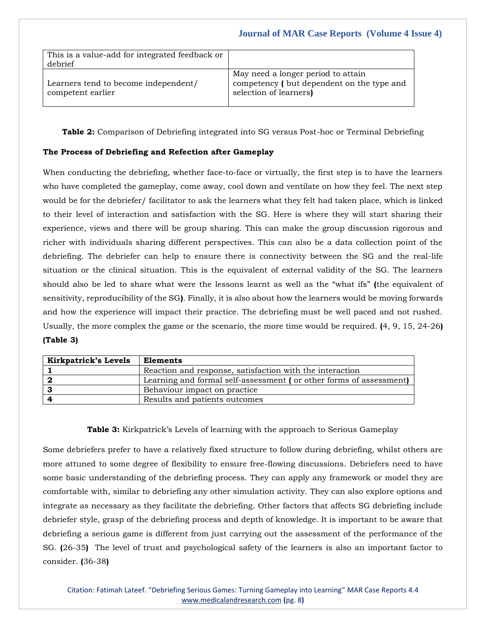| This is a value-add for integrated feedback or<br>debrief |                                                                                                            |
|-----------------------------------------------------------|------------------------------------------------------------------------------------------------------------|
| Learners tend to become independent/<br>competent earlier | May need a longer period to attain<br>competency ( but dependent on the type and<br>selection of learners) |

**Table 2:** Comparison of Debriefing integrated into SG versus Post-hoc or Terminal Debriefing

## **The Process of Debriefing and Refection after Gameplay**

When conducting the debriefing, whether face-to-face or virtually, the first step is to have the learners who have completed the gameplay, come away, cool down and ventilate on how they feel. The next step would be for the debriefer/ facilitator to ask the learners what they felt had taken place, which is linked to their level of interaction and satisfaction with the SG. Here is where they will start sharing their experience, views and there will be group sharing. This can make the group discussion rigorous and richer with individuals sharing different perspectives. This can also be a data collection point of the debriefing. The debriefer can help to ensure there is connectivity between the SG and the real-life situation or the clinical situation. This is the equivalent of external validity of the SG. The learners should also be led to share what were the lessons learnt as well as the "what ifs" **(**the equivalent of sensitivity, reproducibility of the SG**)**. Finally, it is also about how the learners would be moving forwards and how the experience will impact their practice. The debriefing must be well paced and not rushed. Usually, the more complex the game or the scenario, the more time would be required. **(**4, 9, 15, 24-26**) (Table 3)**

| <b>Kirkpatrick's Levels</b> | Elements                                                           |
|-----------------------------|--------------------------------------------------------------------|
|                             | Reaction and response, satisfaction with the interaction           |
|                             | Learning and formal self-assessment (or other forms of assessment) |
|                             | Behaviour impact on practice                                       |
|                             | Results and patients outcomes                                      |

## **Table 3:** Kirkpatrick's Levels of learning with the approach to Serious Gameplay

Some debriefers prefer to have a relatively fixed structure to follow during debriefing, whilst others are more attuned to some degree of flexibility to ensure free-flowing discussions. Debriefers need to have some basic understanding of the debriefing process. They can apply any framework or model they are comfortable with, similar to debriefing any other simulation activity. They can also explore options and integrate as necessary as they facilitate the debriefing. Other factors that affects SG debriefing include debriefer style, grasp of the debriefing process and depth of knowledge. It is important to be aware that debriefing a serious game is different from just carrying out the assessment of the performance of the SG. **(**26-35**)** The level of trust and psychological safety of the learners is also an important factor to consider. **(**36-38**)**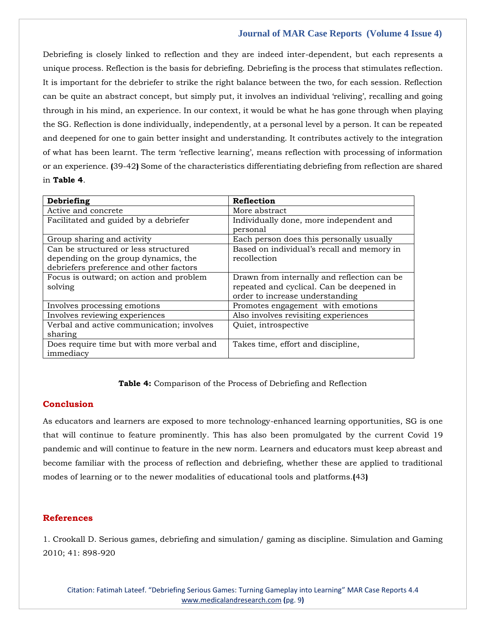Debriefing is closely linked to reflection and they are indeed inter-dependent, but each represents a unique process. Reflection is the basis for debriefing. Debriefing is the process that stimulates reflection. It is important for the debriefer to strike the right balance between the two, for each session. Reflection can be quite an abstract concept, but simply put, it involves an individual 'reliving', recalling and going through in his mind, an experience. In our context, it would be what he has gone through when playing the SG. Reflection is done individually, independently, at a personal level by a person. It can be repeated and deepened for one to gain better insight and understanding. It contributes actively to the integration of what has been learnt. The term 'reflective learning', means reflection with processing of information or an experience. **(**39-42**)** Some of the characteristics differentiating debriefing from reflection are shared in **Table 4**.

| Debriefing                                 | Reflection                                   |
|--------------------------------------------|----------------------------------------------|
| Active and concrete                        | More abstract                                |
| Facilitated and guided by a debriefer      | Individually done, more independent and      |
|                                            | personal                                     |
| Group sharing and activity                 | Each person does this personally usually     |
| Can be structured or less structured       | Based on individual's recall and memory in   |
| depending on the group dynamics, the       | recollection                                 |
| debriefers preference and other factors    |                                              |
| Focus is outward; on action and problem    | Drawn from internally and reflection can be. |
| solving                                    | repeated and cyclical. Can be deepened in    |
|                                            | order to increase understanding              |
| Involves processing emotions               | Promotes engagement with emotions            |
| Involves reviewing experiences             | Also involves revisiting experiences         |
| Verbal and active communication; involves  | Quiet, introspective                         |
| sharing                                    |                                              |
| Does require time but with more verbal and | Takes time, effort and discipline,           |
| immediacy                                  |                                              |

**Table 4:** Comparison of the Process of Debriefing and Reflection

# **Conclusion**

As educators and learners are exposed to more technology-enhanced learning opportunities, SG is one that will continue to feature prominently. This has also been promulgated by the current Covid 19 pandemic and will continue to feature in the new norm. Learners and educators must keep abreast and become familiar with the process of reflection and debriefing, whether these are applied to traditional modes of learning or to the newer modalities of educational tools and platforms.**(**43**)**

# **References**

1. Crookall D. Serious games, debriefing and simulation/ gaming as discipline. Simulation and Gaming 2010; 41: 898-920

Citation: Fatimah Lateef. "Debriefing Serious Games: Turning Gameplay into Learning" MAR Case Reports 4.4 [www.medicalandresearch.com](http://www.medicalandresearch.com/) **(**pg. 9**)**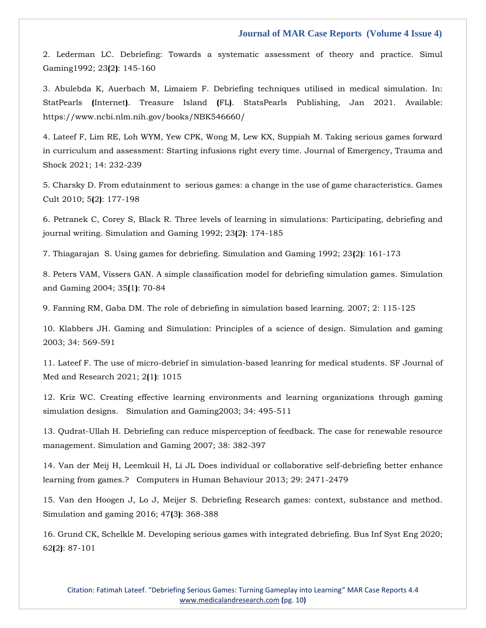2. Lederman LC. Debriefing: Towards a systematic assessment of theory and practice. Simul Gaming1992; 23**(**2**)**: 145-160

3. Abulebda K, Auerbach M, Limaiem F. Debriefing techniques utilised in medical simulation. In: StatPearls **(**Internet**)**. Treasure Island **(**FL**)**. StatsPearls Publishing, Jan 2021. Available: https://www.ncbi.nlm.nih.gov/books/NBK546660/

4. Lateef F, Lim RE, Loh WYM, Yew CPK, Wong M, Lew KX, Suppiah M. Taking serious games forward in curriculum and assessment: Starting infusions right every time. Journal of Emergency, Trauma and Shock 2021; 14: 232-239

5. Charsky D. From edutainment to serious games: a change in the use of game characteristics. Games Cult 2010; 5**(**2**)**: 177-198

6. Petranek C, Corey S, Black R. Three levels of learning in simulations: Participating, debriefing and journal writing. Simulation and Gaming 1992; 23**(**2**)**: 174-185

7. Thiagarajan S. Using games for debriefing. Simulation and Gaming 1992; 23**(**2**)**: 161-173

8. Peters VAM, Vissers GAN. A simple classification model for debriefing simulation games. Simulation and Gaming 2004; 35**(**1**)**: 70-84

9. Fanning RM, Gaba DM. The role of debriefing in simulation based learning. 2007; 2: 115-125

10. Klabbers JH. Gaming and Simulation: Principles of a science of design. Simulation and gaming 2003; 34: 569-591

11. Lateef F. The use of micro-debrief in simulation-based leanring for medical students. SF Journal of Med and Research 2021; 2**(**1**)**: 1015

12. Kriz WC. Creating effective learning environments and learning organizations through gaming simulation designs. Simulation and Gaming2003; 34: 495-511

13. Qudrat-Ullah H. Debriefing can reduce misperception of feedback. The case for renewable resource management. Simulation and Gaming 2007; 38: 382-397

14. Van der Meij H, Leemkuil H, Li JL Does individual or collaborative self-debriefing better enhance learning from games.? Computers in Human Behaviour 2013; 29: 2471-2479

15. Van den Hoogen J, Lo J, Meijer S. Debriefing Research games: context, substance and method. Simulation and gaming 2016; 47**(**3**)**: 368-388

16. Grund CK, Schelkle M. Developing serious games with integrated debriefing. Bus Inf Syst Eng 2020; 62**(**2**)**: 87-101

Citation: Fatimah Lateef. "Debriefing Serious Games: Turning Gameplay into Learning" MAR Case Reports 4.4 [www.medicalandresearch.com](http://www.medicalandresearch.com/) **(**pg. 10**)**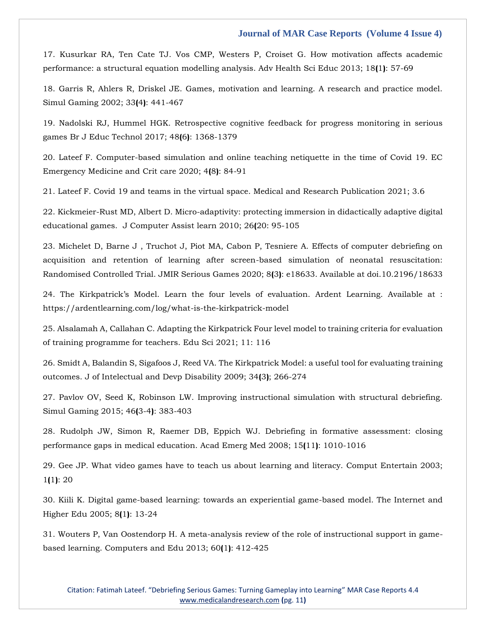17. Kusurkar RA, Ten Cate TJ. Vos CMP, Westers P, Croiset G. How motivation affects academic performance: a structural equation modelling analysis. Adv Health Sci Educ 2013; 18**(**1**)**: 57-69

18. Garris R, Ahlers R, Driskel JE. Games, motivation and learning. A research and practice model. Simul Gaming 2002; 33**(**4**)**: 441-467

19. Nadolski RJ, Hummel HGK. Retrospective cognitive feedback for progress monitoring in serious games Br J Educ Technol 2017; 48**(**6**)**: 1368-1379

20. Lateef F. Computer-based simulation and online teaching netiquette in the time of Covid 19. EC Emergency Medicine and Crit care 2020; 4**(**8**)**: 84-91

21. Lateef F. Covid 19 and teams in the virtual space. Medical and Research Publication 2021; 3.6

22. Kickmeier-Rust MD, Albert D. Micro-adaptivity: protecting immersion in didactically adaptive digital educational games. J Computer Assist learn 2010; 26**(**20: 95-105

23. Michelet D, Barne J , Truchot J, Piot MA, Cabon P, Tesniere A. Effects of computer debriefing on acquisition and retention of learning after screen-based simulation of neonatal resuscitation: Randomised Controlled Trial. JMIR Serious Games 2020; 8**(**3**)**: e18633. Available at doi.10.2196/18633

24. The Kirkpatrick's Model. Learn the four levels of evaluation. Ardent Learning. Available at : https://ardentlearning.com/log/what-is-the-kirkpatrick-model

25. Alsalamah A, Callahan C. Adapting the Kirkpatrick Four level model to training criteria for evaluation of training programme for teachers. Edu Sci 2021; 11: 116

26. Smidt A, Balandin S, Sigafoos J, Reed VA. The Kirkpatrick Model: a useful tool for evaluating training outcomes. J of Intelectual and Devp Disability 2009; 34**(**3**)**; 266-274

27. Pavlov OV, Seed K, Robinson LW. Improving instructional simulation with structural debriefing. Simul Gaming 2015; 46**(**3-4**)**: 383-403

28. Rudolph JW, Simon R, Raemer DB, Eppich WJ. Debriefing in formative assessment: closing performance gaps in medical education. Acad Emerg Med 2008; 15**(**11**)**: 1010-1016

29. Gee JP. What video games have to teach us about learning and literacy. Comput Entertain 2003; 1**(**1**)**: 20

30. Kiili K. Digital game-based learning: towards an experiential game-based model. The Internet and Higher Edu 2005; 8**(**1**)**: 13-24

31. Wouters P, Van Oostendorp H. A meta-analysis review of the role of instructional support in gamebased learning. Computers and Edu 2013; 60**(**1**)**: 412-425

Citation: Fatimah Lateef. "Debriefing Serious Games: Turning Gameplay into Learning" MAR Case Reports 4.4 [www.medicalandresearch.com](http://www.medicalandresearch.com/) **(**pg. 11**)**